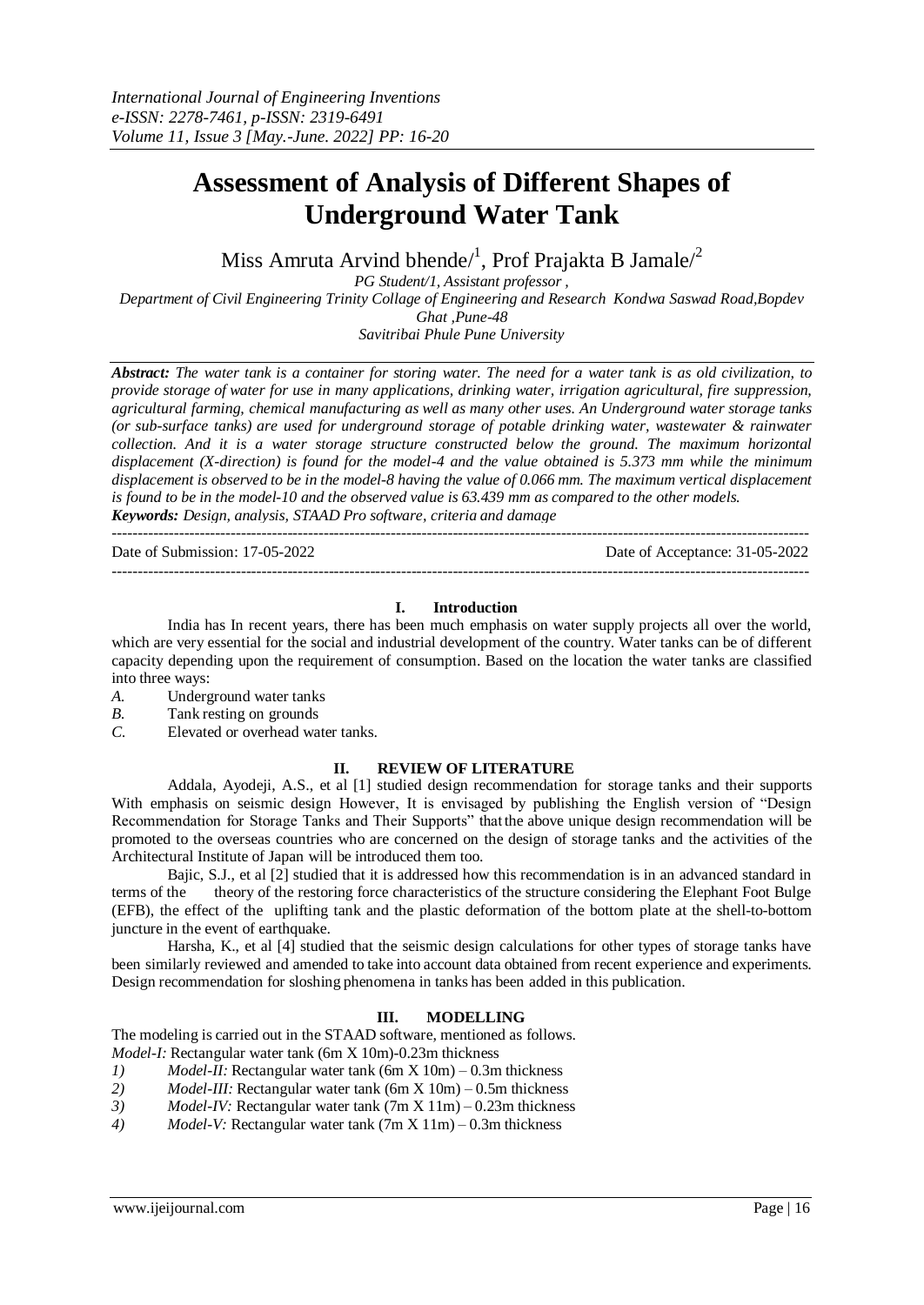# **Assessment of Analysis of Different Shapes of Underground Water Tank**

Miss Amruta Arvind bhende/<sup>1</sup>, Prof Prajakta B Jamale/<sup>2</sup>

*PG Student/1, Assistant professor , Department of Civil Engineering Trinity Collage of Engineering and Research Kondwa Saswad Road,Bopdev Ghat ,Pune-48 Savitribai Phule Pune University*

**Abstract:** The water tank is a container for storing water. The need for a water tank is as old civilization, to *provide storage of water for use in many applications, drinking water, irrigation agricultural, fire suppression, agricultural farming, chemical manufacturing as well as many other uses. An Underground water storage tanks (or sub-surface tanks) are used for underground storage of potable drinking water, wastewater & rainwater collection. And it is a water storage structure constructed below the ground. The maximum horizontal displacement (X-direction) is found for the model-4 and the value obtained is 5.373 mm while the minimum* displacement is observed to be in the model-8 having the value of 0.066 mm. The maximum vertical displacement is found to be in the model-10 and the observed value is 63.439 mm as compared to the other models. *Keywords: Design, analysis, STAAD Pro software, criteria and damage*

---------------------------------------------------------------------------------------------------------------------------------------

Date of Submission: 17-05-2022 Date of Acceptance: 31-05-2022

---------------------------------------------------------------------------------------------------------------------------------------

### **I. Introduction**

India has In recent years, there has been much emphasis on water supply projects all over the world, which are very essential for the social and industrial development of the country. Water tanks can be of different capacity depending upon the requirement of consumption. Based on the location the water tanks are classified into three ways:

- *A.* Underground water tanks
- *B.* Tank resting on grounds
- *C.* Elevated or overhead water tanks.

#### **II. REVIEW OF LITERATURE**

Addala, Ayodeji, A.S., et al [1] studied design recommendation for storage tanks and their supports With emphasis on seismic design However, It is envisaged by publishing the English version of "Design Recommendation for Storage Tanks and Their Supports" that the above unique design recommendation will be promoted to the overseas countries who are concerned on the design of storage tanks and the activities of the Architectural Institute of Japan will be introduced them too.

Bajic, S.J., et al [2] studied that it is addressed how this recommendation is in an advanced standard in terms of the theory of the restoring force characteristics of the structure considering the Elephant Foot Bulge (EFB), the effect of the uplifting tank and the plastic deformation of the bottom plate at the shell-to-bottom juncture in the event of earthquake.

Harsha, K., et al [4] studied that the seismic design calculations for other types of storage tanks have been similarly reviewed and amended to take into account data obtained from recent experience and experiments. Design recommendation for sloshing phenomena in tanks has been added in this publication.

#### **III. MODELLING**

The modeling is carried out in the STAAD software, mentioned as follows.

*Model-I:* Rectangular water tank (6m X 10m)-0.23m thickness

- *1) Model-II:* Rectangular water tank (6m X 10m) 0.3m thickness
- *2) Model-III:* Rectangular water tank (6m X 10m) 0.5m thickness
- *3) Model-IV:* Rectangular water tank (7m X 11m) 0.23m thickness
- *4) Model-V:* Rectangular water tank (7m X 11m) 0.3m thickness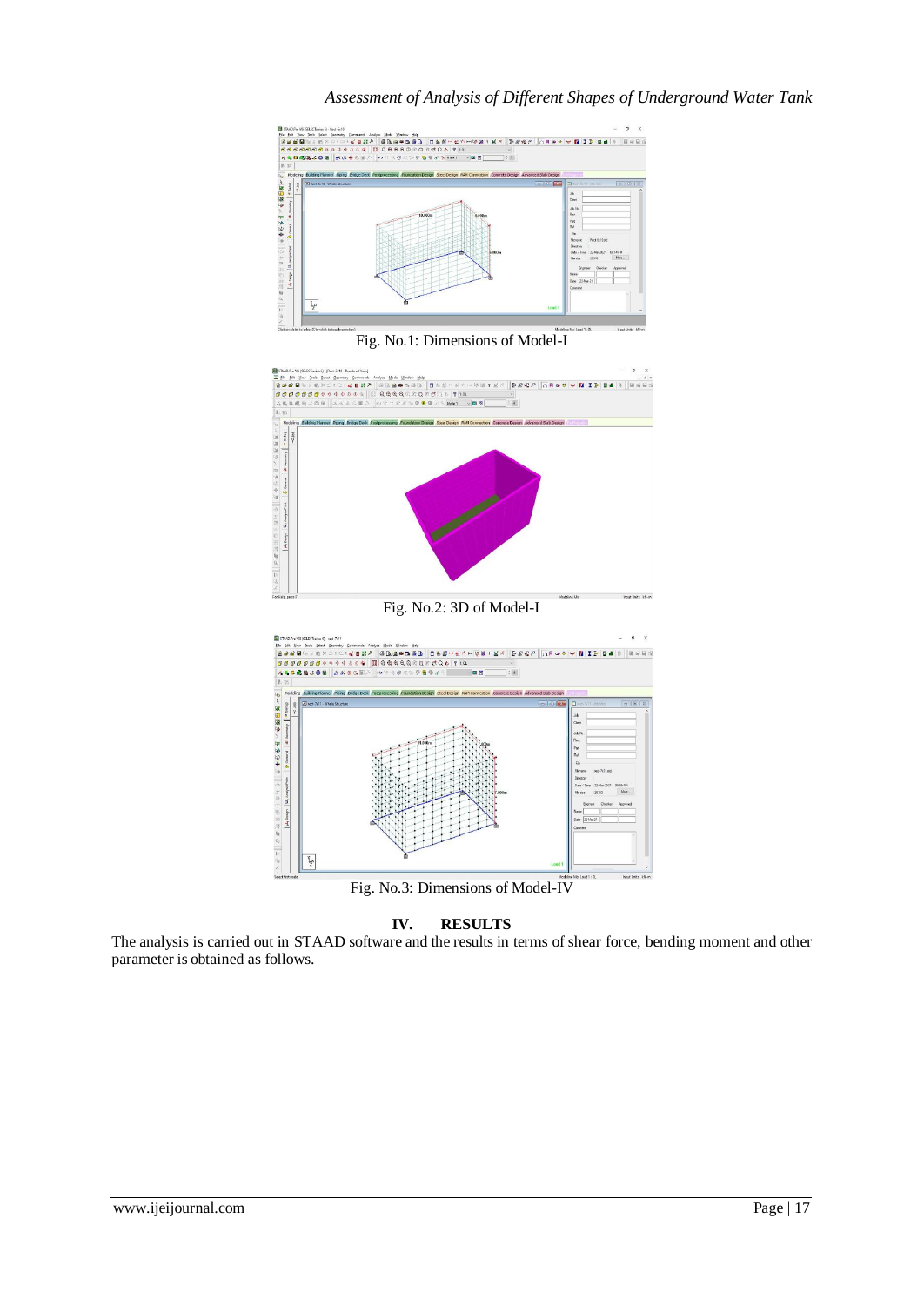

Fig. No.1: Dimensions of Model-I



Fig. No.3: Dimensions of Model-IV

**IV. RESULTS**

The analysis is carried out in STAAD software and the results in terms of shear force, bending moment and other parameter is obtained as follows.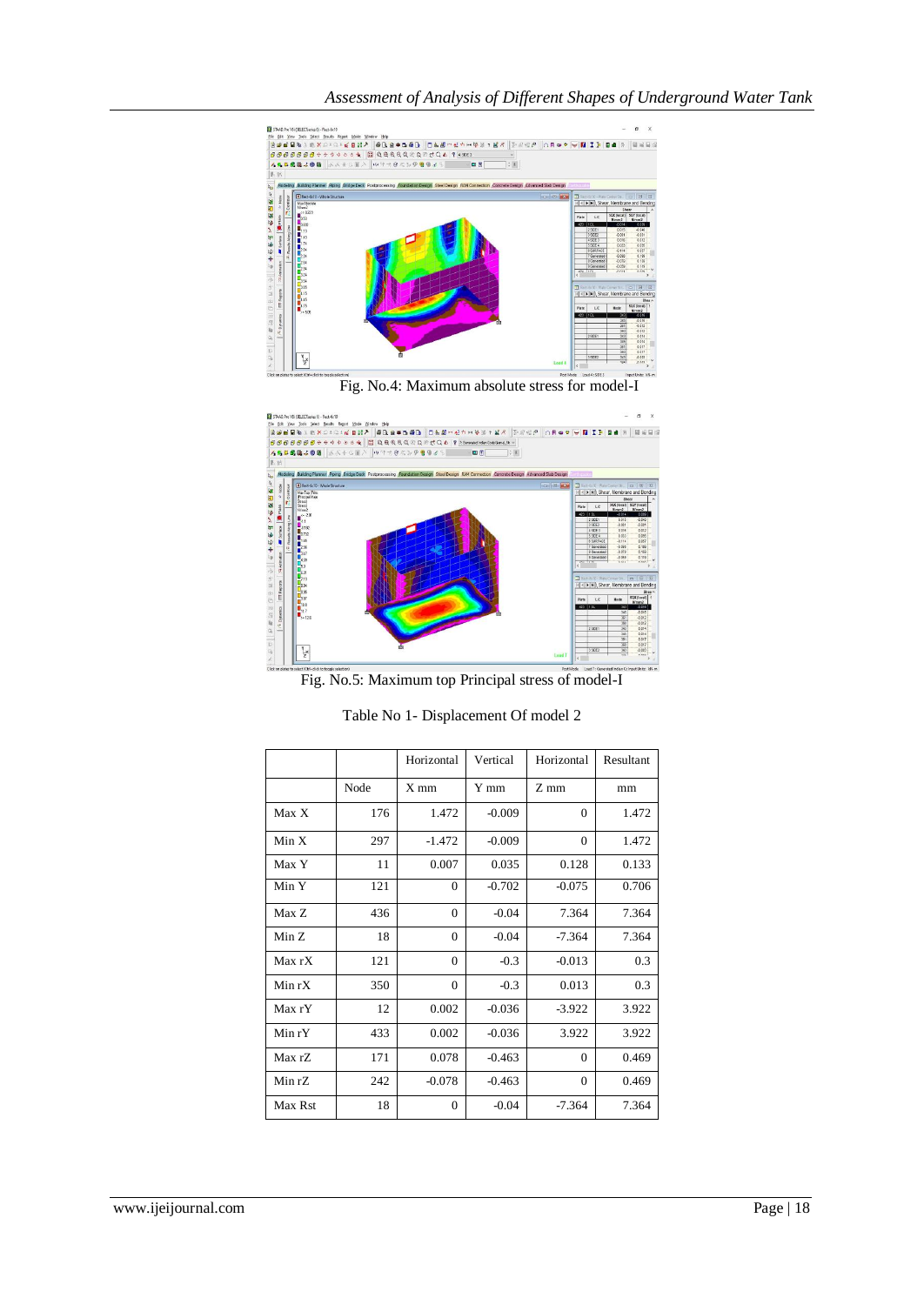

Fig. No.4: Maximum absolute stress for model-I



Fig. No.5: Maximum top Principal stress of model-I

Table No 1- Displacement Of model 2

|         |      | Horizontal   | Vertical | Horizontal | Resultant |
|---------|------|--------------|----------|------------|-----------|
|         | Node | $X$ mm       | Y mm     | Z mm       | mm        |
| Max X   | 176  | 1.472        | $-0.009$ | $\Omega$   | 1.472     |
| Min X   | 297  | $-1.472$     | $-0.009$ | $\Omega$   | 1.472     |
| Max Y   | 11   | 0.007        | 0.035    | 0.128      | 0.133     |
| Min Y   | 121  | $\Omega$     | $-0.702$ | $-0.075$   | 0.706     |
| Max Z   | 436  | $\Omega$     | $-0.04$  | 7.364      | 7.364     |
| Min Z   | 18   | $\Omega$     | $-0.04$  | $-7.364$   | 7.364     |
| Max rX  | 121  | $\Omega$     | $-0.3$   | $-0.013$   | 0.3       |
| Min rX  | 350  | $\Omega$     | $-0.3$   | 0.013      | 0.3       |
| Max rY  | 12   | 0.002        | $-0.036$ | $-3.922$   | 3.922     |
| Min rY  | 433  | 0.002        | $-0.036$ | 3.922      | 3.922     |
| Max rZ  | 171  | 0.078        | $-0.463$ | $\Omega$   | 0.469     |
| Min rZ  | 242  | $-0.078$     | $-0.463$ | $\Omega$   | 0.469     |
| Max Rst | 18   | $\mathbf{0}$ | $-0.04$  | $-7.364$   | 7.364     |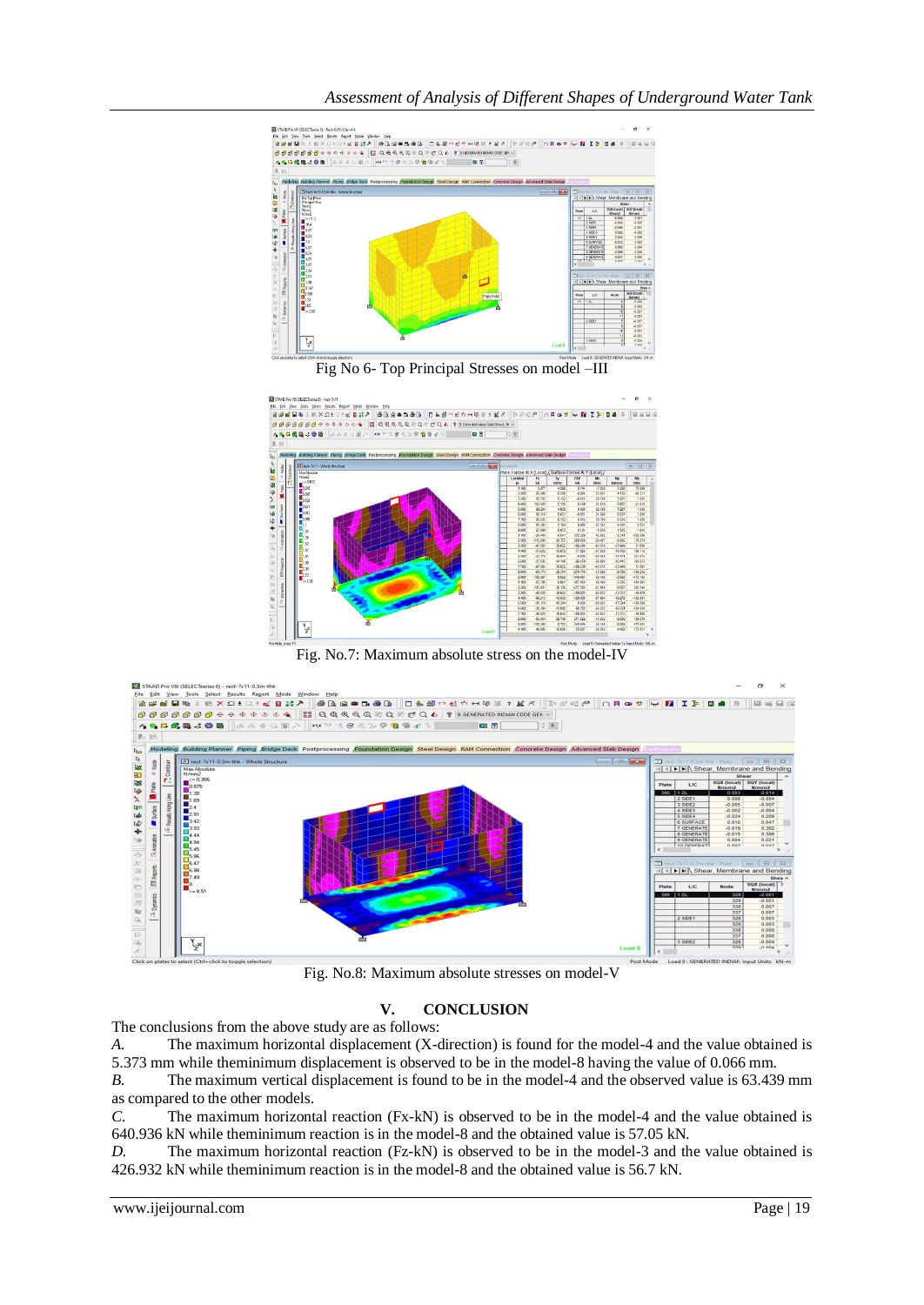

Fig No 6- Top Principal Stresses on model –III



Fig. No.7: Maximum absolute stress on the model-IV



Fig. No.8: Maximum absolute stresses on model-V

## **V. CONCLUSION**

The conclusions from the above study are as follows:

*A.* The maximum horizontal displacement (X-direction) is found for the model-4 and the value obtained is 5.373 mm while theminimum displacement is observed to be in the model-8 having the value of 0.066 mm.

*B.* The maximum vertical displacement is found to be in the model-4 and the observed value is 63.439 mm as compared to the other models.

*C.* The maximum horizontal reaction (Fx-kN) is observed to be in the model-4 and the value obtained is 640.936 kN while theminimum reaction is in the model-8 and the obtained value is 57.05 kN.

*D.* The maximum horizontal reaction (Fz-kN) is observed to be in the model-3 and the value obtained is 426.932 kN while theminimum reaction is in the model-8 and the obtained value is 56.7 kN.